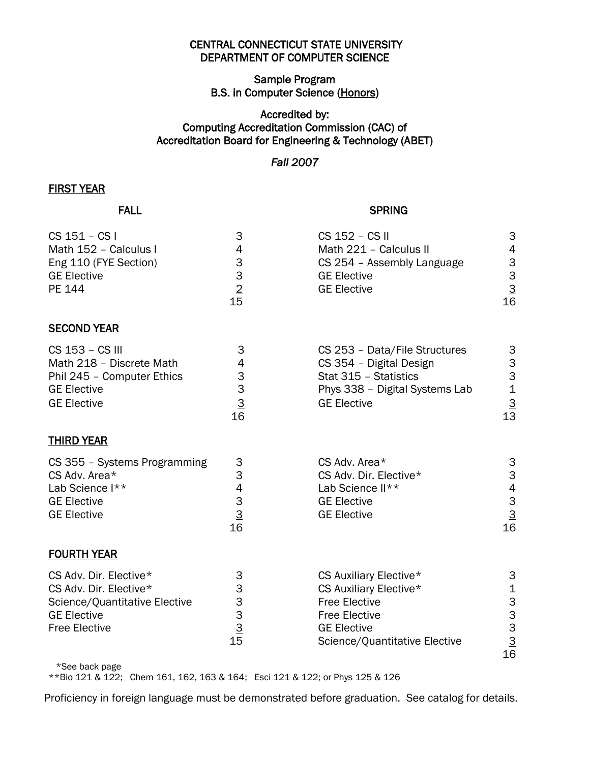### CENTRAL CONNECTICUT STATE UNIVERSITY DEPARTMENT OF COMPUTER SCIENCE

# Sample Program B.S. in Computer Science (Honors)

# Accredited by: Computing Accreditation Commission (CAC) of Accreditation Board for Engineering & Technology (ABET)

# *Fall 2007*

### FIRST YEAR

#### **FALL** SPRING

| $CS$ 151 – $CS$ l<br>Math 152 - Calculus I<br>Eng 110 (FYE Section)<br><b>GE Elective</b><br>PE 144                   | 3<br>4<br>$\ensuremath{\mathsf{3}}$<br>$\begin{array}{c} 3 \\ 2 \\ 15 \end{array}$ | CS 152 - CS II<br>Math 221 - Calculus II<br>CS 254 - Assembly Language<br><b>GE Elective</b><br><b>GE Elective</b>                        | 3<br>4<br>3<br>3<br>$\frac{3}{16}$              |
|-----------------------------------------------------------------------------------------------------------------------|------------------------------------------------------------------------------------|-------------------------------------------------------------------------------------------------------------------------------------------|-------------------------------------------------|
| <b>SECOND YEAR</b>                                                                                                    |                                                                                    |                                                                                                                                           |                                                 |
| CS 153 - CS III<br>Math 218 - Discrete Math<br>Phil 245 - Computer Ethics<br><b>GE Elective</b><br><b>GE Elective</b> | 3<br>4<br>3<br>3<br>$\overline{3}$<br>16                                           | CS 253 - Data/File Structures<br>CS 354 - Digital Design<br>Stat 315 - Statistics<br>Phys 338 - Digital Systems Lab<br><b>GE Elective</b> | 3<br>3<br>3<br>$\mathbf 1$<br>$\frac{3}{13}$    |
| <b>THIRD YEAR</b>                                                                                                     |                                                                                    |                                                                                                                                           |                                                 |
| CS 355 - Systems Programming<br>CS Adv. Area*<br>Lab Science I**<br><b>GE Elective</b><br><b>GE Elective</b>          | 3<br>3<br>4<br>$\ensuremath{\mathsf{3}}$<br>$\overline{3}$<br>16                   | CS Adv. Area*<br>CS Adv. Dir. Elective*<br>Lab Science II**<br><b>GE Elective</b><br><b>GE Elective</b>                                   | 3<br>3<br>$\overline{4}$<br>$\frac{3}{3}$<br>16 |

#### FOURTH YEAR

| CS Adv. Dir. Elective*        | 3  | CS Auxiliary Elective*        | 3  |
|-------------------------------|----|-------------------------------|----|
| CS Adv. Dir. Elective*        | З  | CS Auxiliary Elective*        | 1  |
| Science/Quantitative Elective | 3  | <b>Free Elective</b>          | 3  |
| GE Elective                   | 3  | <b>Free Elective</b>          | 3  |
| <b>Free Elective</b>          | 3  | <b>GE Elective</b>            | 3  |
|                               | 15 | Science/Quantitative Elective | 3  |
|                               |    |                               | 16 |

\*See back page

\*\*Bio 121 & 122; Chem 161, 162, 163 & 164; Esci 121 & 122; or Phys 125 & 126

Proficiency in foreign language must be demonstrated before graduation. See catalog for details.